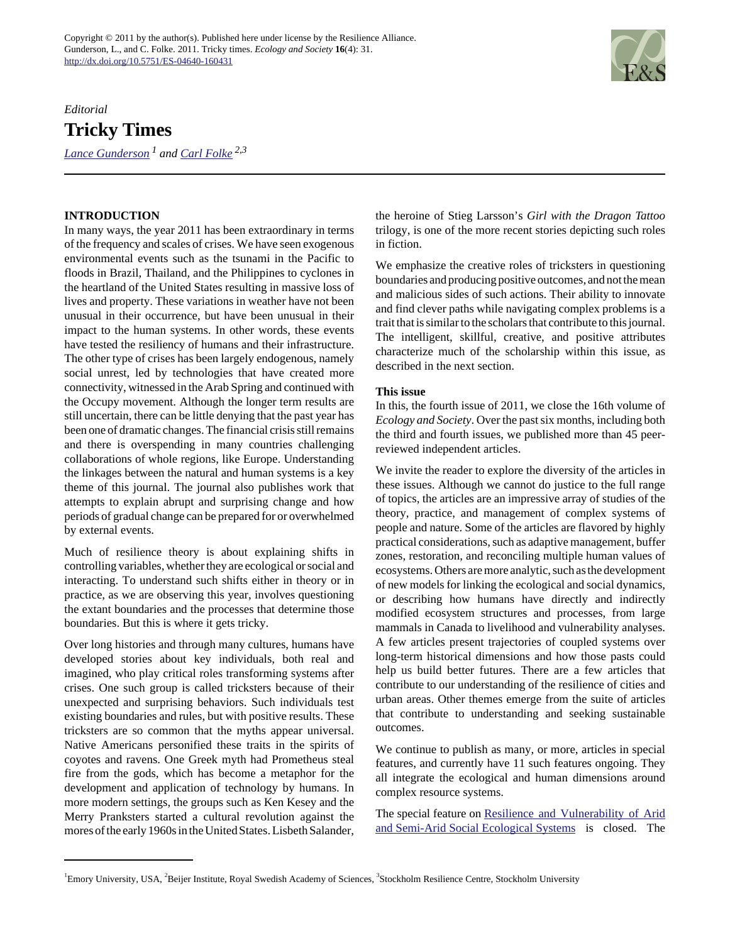## *Editorial* **Tricky Times**

*[Lance Gunderson](mailto:lgunder@emory.edu) 1 and [Carl Folke](mailto:carl.folke@beijer.kva.se) 2,3*



## **INTRODUCTION**

In many ways, the year 2011 has been extraordinary in terms of the frequency and scales of crises. We have seen exogenous environmental events such as the tsunami in the Pacific to floods in Brazil, Thailand, and the Philippines to cyclones in the heartland of the United States resulting in massive loss of lives and property. These variations in weather have not been unusual in their occurrence, but have been unusual in their impact to the human systems. In other words, these events have tested the resiliency of humans and their infrastructure. The other type of crises has been largely endogenous, namely social unrest, led by technologies that have created more connectivity, witnessed in the Arab Spring and continued with the Occupy movement. Although the longer term results are still uncertain, there can be little denying that the past year has been one of dramatic changes. The financial crisis still remains and there is overspending in many countries challenging collaborations of whole regions, like Europe. Understanding the linkages between the natural and human systems is a key theme of this journal. The journal also publishes work that attempts to explain abrupt and surprising change and how periods of gradual change can be prepared for or overwhelmed by external events.

Much of resilience theory is about explaining shifts in controlling variables, whether they are ecological or social and interacting. To understand such shifts either in theory or in practice, as we are observing this year, involves questioning the extant boundaries and the processes that determine those boundaries. But this is where it gets tricky.

Over long histories and through many cultures, humans have developed stories about key individuals, both real and imagined, who play critical roles transforming systems after crises. One such group is called tricksters because of their unexpected and surprising behaviors. Such individuals test existing boundaries and rules, but with positive results. These tricksters are so common that the myths appear universal. Native Americans personified these traits in the spirits of coyotes and ravens. One Greek myth had Prometheus steal fire from the gods, which has become a metaphor for the development and application of technology by humans. In more modern settings, the groups such as Ken Kesey and the Merry Pranksters started a cultural revolution against the mores of the early 1960s in the United States. Lisbeth Salander, the heroine of Stieg Larsson's *Girl with the Dragon Tattoo* trilogy, is one of the more recent stories depicting such roles in fiction.

We emphasize the creative roles of tricksters in questioning boundaries and producing positive outcomes, and not the mean and malicious sides of such actions. Their ability to innovate and find clever paths while navigating complex problems is a trait that is similar to the scholars that contribute to this journal. The intelligent, skillful, creative, and positive attributes characterize much of the scholarship within this issue, as described in the next section.

## **This issue**

In this, the fourth issue of 2011, we close the 16th volume of *Ecology and Society*. Over the past six months, including both the third and fourth issues, we published more than 45 peerreviewed independent articles.

We invite the reader to explore the diversity of the articles in these issues. Although we cannot do justice to the full range of topics, the articles are an impressive array of studies of the theory, practice, and management of complex systems of people and nature. Some of the articles are flavored by highly practical considerations, such as adaptive management, buffer zones, restoration, and reconciling multiple human values of ecosystems. Others are more analytic, such as the development of new models for linking the ecological and social dynamics, or describing how humans have directly and indirectly modified ecosystem structures and processes, from large mammals in Canada to livelihood and vulnerability analyses. A few articles present trajectories of coupled systems over long-term historical dimensions and how those pasts could help us build better futures. There are a few articles that contribute to our understanding of the resilience of cities and urban areas. Other themes emerge from the suite of articles that contribute to understanding and seeking sustainable outcomes.

We continue to publish as many, or more, articles in special features, and currently have 11 such features ongoing. They all integrate the ecological and human dimensions around complex resource systems.

The special feature on [Resilience and Vulnerability of Arid](http://www.ecologyandsociety.org/viewissue.php?sf=52) [and Semi-Arid Social Ecological Systems](http://www.ecologyandsociety.org/viewissue.php?sf=52) is closed. The

<sup>&</sup>lt;sup>1</sup>Emory University, USA, <sup>2</sup>Beijer Institute, Royal Swedish Academy of Sciences, <sup>3</sup>Stockholm Resilience Centre, Stockholm University